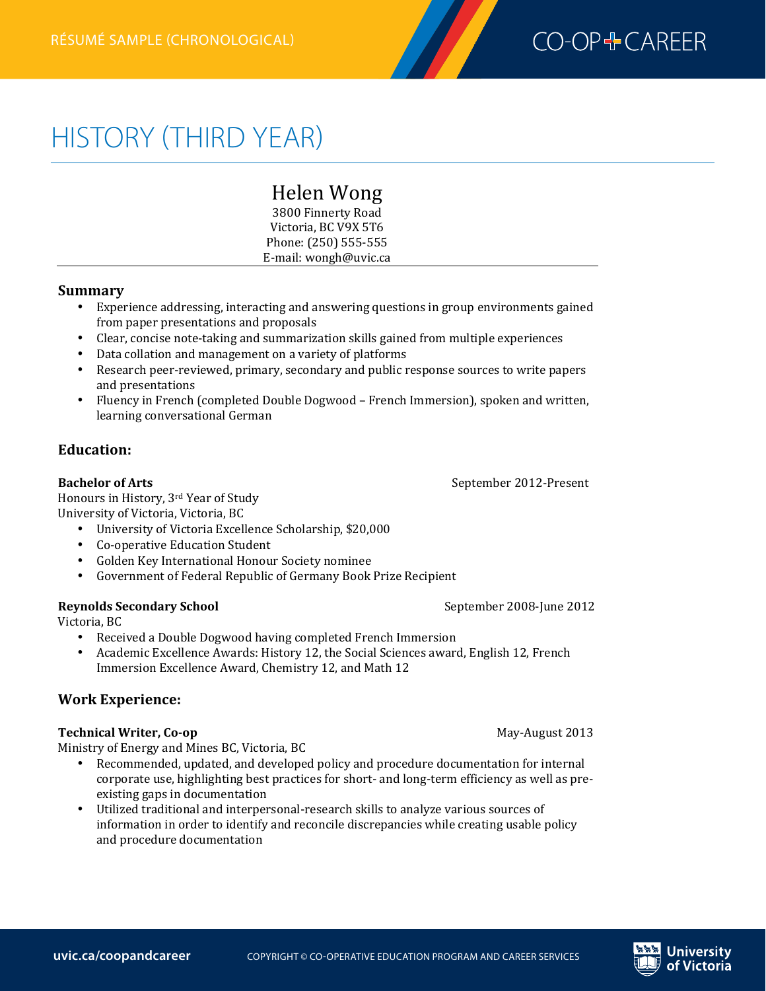

# HISTORY (THIRD YEAR)

# Helen 
Wong

3800 Finnerty Road Victoria, BC V9X 5T6 Phone: (250) 555-555 E-mail: wongh@uvic.ca

#### **Summary**

- Experience addressing, interacting and answering questions in group environments gained from paper presentations and proposals
- Clear, concise note-taking and summarization skills gained from multiple experiences
- Data collation and management on a variety of platforms
- Research peer-reviewed, primary, secondary and public response sources to write papers and presentations
- Fluency in French (completed Double Dogwood French Immersion), spoken and written, learning conversational German

# **Education:**

### **Bachelor of Arts Bachelor of Arts Bachelor of Arts Bachelor of Arts Bachelor of Arts Bachelor of Arts Bachelor of Arts Bachelor 3012-Present**

Honours in History, 3rd Year of Study University of Victoria, Victoria, BC

- University of Victoria Excellence Scholarship, \$20,000
- Co-operative Education Student
- Golden Key International Honour Society nominee
- Government of Federal Republic of Germany Book Prize Recipient

#### **Reynolds Secondary School** extends the series of the September 2008-June 2012

Victoria, BC

- Received a Double Dogwood having completed French Immersion
- Academic Excellence Awards: History 12, the Social Sciences award, English 12, French Immersion Excellence Award, Chemistry 12, and Math 12

# **Work 
Experience:**

#### **Technical Writer, Co-op Community 1999 May-August 2013**

Ministry of Energy and Mines BC, Victoria, BC

- Recommended, updated, and developed policy and procedure documentation for internal corporate use, highlighting best practices for short- and long-term efficiency as well as preexisting gaps in documentation
- Utilized traditional and interpersonal-research skills to analyze various sources of information in order to identify and reconcile discrepancies while creating usable policy and procedure documentation

Jniversitv of Victoria